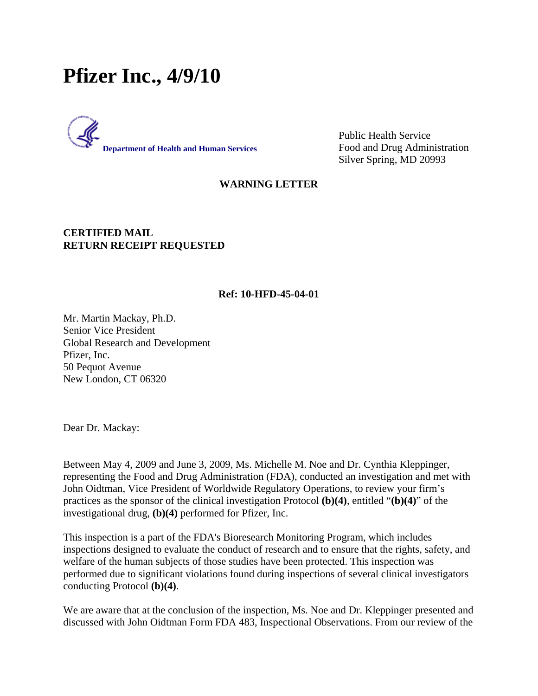# **Pfizer Inc., 4/9/10**



Public Health Service Food and Drug Administration Silver Spring, MD 20993

## **WARNING LETTER**

### **CERTIFIED MAIL RETURN RECEIPT REQUESTED**

#### **Ref: 10-HFD-45-04-01**

Mr. Martin Mackay, Ph.D. Senior Vice President Global Research and Development Pfizer, Inc. 50 Pequot Avenue New London, CT 06320

Dear Dr. Mackay:

Between May 4, 2009 and June 3, 2009, Ms. Michelle M. Noe and Dr. Cynthia Kleppinger, representing the Food and Drug Administration (FDA), conducted an investigation and met with John Oidtman, Vice President of Worldwide Regulatory Operations, to review your firm's practices as the sponsor of the clinical investigation Protocol **(b)(4)**, entitled "**(b)(4)**" of the investigational drug, **(b)(4)** performed for Pfizer, Inc.

This inspection is a part of the FDA's Bioresearch Monitoring Program, which includes inspections designed to evaluate the conduct of research and to ensure that the rights, safety, and welfare of the human subjects of those studies have been protected. This inspection was performed due to significant violations found during inspections of several clinical investigators conducting Protocol **(b)(4)**.

We are aware that at the conclusion of the inspection, Ms. Noe and Dr. Kleppinger presented and discussed with John Oidtman Form FDA 483, Inspectional Observations. From our review of the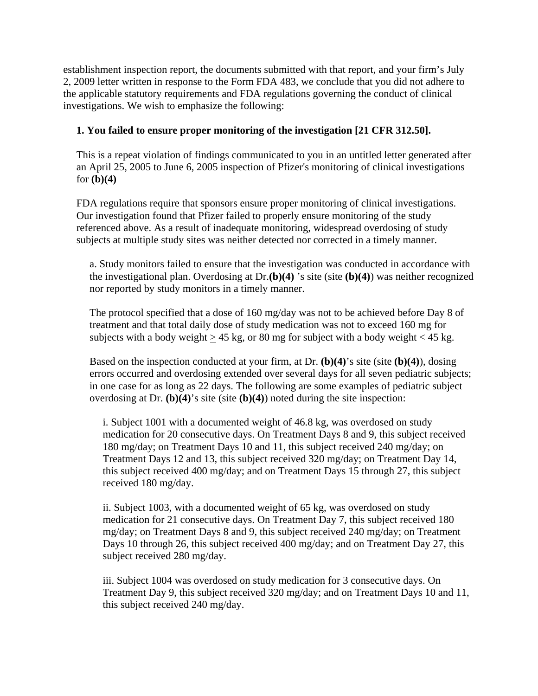establishment inspection report, the documents submitted with that report, and your firm's July 2, 2009 letter written in response to the Form FDA 483, we conclude that you did not adhere to the applicable statutory requirements and FDA regulations governing the conduct of clinical investigations. We wish to emphasize the following:

# **1. You failed to ensure proper monitoring of the investigation [21 CFR 312.50].**

This is a repeat violation of findings communicated to you in an untitled letter generated after an April 25, 2005 to June 6, 2005 inspection of Pfizer's monitoring of clinical investigations for **(b)(4)**

FDA regulations require that sponsors ensure proper monitoring of clinical investigations. Our investigation found that Pfizer failed to properly ensure monitoring of the study referenced above. As a result of inadequate monitoring, widespread overdosing of study subjects at multiple study sites was neither detected nor corrected in a timely manner.

a. Study monitors failed to ensure that the investigation was conducted in accordance with the investigational plan. Overdosing at Dr.**(b)(4)** 's site (site **(b)(4)**) was neither recognized nor reported by study monitors in a timely manner.

The protocol specified that a dose of 160 mg/day was not to be achieved before Day 8 of treatment and that total daily dose of study medication was not to exceed 160 mg for subjects with a body weight  $\geq 45$  kg, or 80 mg for subject with a body weight < 45 kg.

Based on the inspection conducted at your firm, at Dr. **(b)(4)**'s site (site **(b)(4)**), dosing errors occurred and overdosing extended over several days for all seven pediatric subjects; in one case for as long as 22 days. The following are some examples of pediatric subject overdosing at Dr. **(b)(4)**'s site (site **(b)(4)**) noted during the site inspection:

i. Subject 1001 with a documented weight of 46.8 kg, was overdosed on study medication for 20 consecutive days. On Treatment Days 8 and 9, this subject received 180 mg/day; on Treatment Days 10 and 11, this subject received 240 mg/day; on Treatment Days 12 and 13, this subject received 320 mg/day; on Treatment Day 14, this subject received 400 mg/day; and on Treatment Days 15 through 27, this subject received 180 mg/day.

ii. Subject 1003, with a documented weight of 65 kg, was overdosed on study medication for 21 consecutive days. On Treatment Day 7, this subject received 180 mg/day; on Treatment Days 8 and 9, this subject received 240 mg/day; on Treatment Days 10 through 26, this subject received 400 mg/day; and on Treatment Day 27, this subject received 280 mg/day.

iii. Subject 1004 was overdosed on study medication for 3 consecutive days. On Treatment Day 9, this subject received 320 mg/day; and on Treatment Days 10 and 11, this subject received 240 mg/day.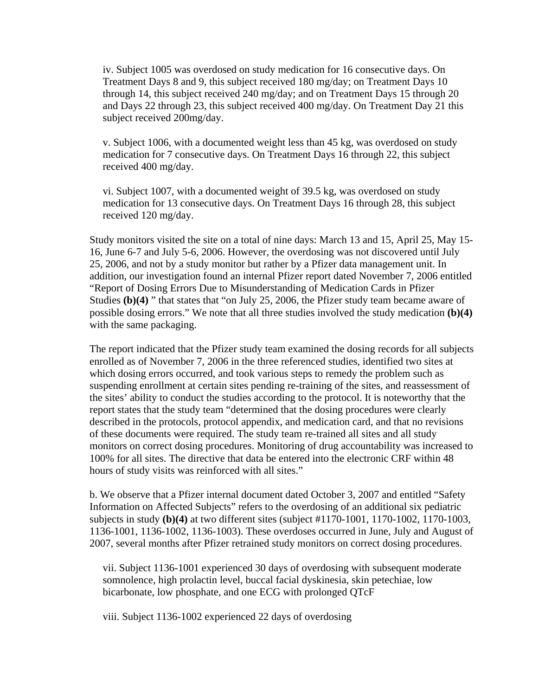iv. Subject 1005 was overdosed on study medication for 16 consecutive days. On Treatment Days 8 and 9, this subject received 180 mg/day; on Treatment Days 10 through 14, this subject received 240 mg/day; and on Treatment Days 15 through 20 and Days 22 through 23, this subject received 400 mg/day. On Treatment Day 21 this subject received 200mg/day.

v. Subject 1006, with a documented weight less than 45 kg, was overdosed on study medication for 7 consecutive days. On Treatment Days 16 through 22, this subject received 400 mg/day.

vi. Subject 1007, with a documented weight of 39.5 kg, was overdosed on study medication for 13 consecutive days. On Treatment Days 16 through 28, this subject received 120 mg/day.

Study monitors visited the site on a total of nine days: March 13 and 15, April 25, May 15- 16, June 6-7 and July 5-6, 2006. However, the overdosing was not discovered until July 25, 2006, and not by a study monitor but rather by a Pfizer data management unit. In addition, our investigation found an internal Pfizer report dated November 7, 2006 entitled "Report of Dosing Errors Due to Misunderstanding of Medication Cards in Pfizer Studies **(b)(4)** " that states that "on July 25, 2006, the Pfizer study team became aware of possible dosing errors." We note that all three studies involved the study medication **(b)(4)** with the same packaging.

The report indicated that the Pfizer study team examined the dosing records for all subjects enrolled as of November 7, 2006 in the three referenced studies, identified two sites at which dosing errors occurred, and took various steps to remedy the problem such as suspending enrollment at certain sites pending re-training of the sites, and reassessment of the sites' ability to conduct the studies according to the protocol. It is noteworthy that the report states that the study team "determined that the dosing procedures were clearly described in the protocols, protocol appendix, and medication card, and that no revisions of these documents were required. The study team re-trained all sites and all study monitors on correct dosing procedures. Monitoring of drug accountability was increased to 100% for all sites. The directive that data be entered into the electronic CRF within 48 hours of study visits was reinforced with all sites."

b. We observe that a Pfizer internal document dated October 3, 2007 and entitled "Safety Information on Affected Subjects" refers to the overdosing of an additional six pediatric subjects in study **(b)(4)** at two different sites (subject #1170-1001, 1170-1002, 1170-1003, 1136-1001, 1136-1002, 1136-1003). These overdoses occurred in June, July and August of 2007, several months after Pfizer retrained study monitors on correct dosing procedures.

vii. Subject 1136-1001 experienced 30 days of overdosing with subsequent moderate somnolence, high prolactin level, buccal facial dyskinesia, skin petechiae, low bicarbonate, low phosphate, and one ECG with prolonged QTcF

viii. Subject 1136-1002 experienced 22 days of overdosing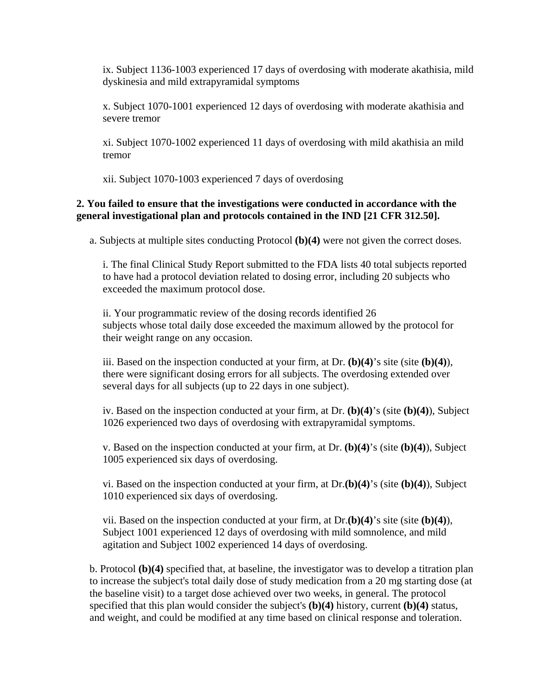ix. Subject 1136-1003 experienced 17 days of overdosing with moderate akathisia, mild dyskinesia and mild extrapyramidal symptoms

x. Subject 1070-1001 experienced 12 days of overdosing with moderate akathisia and severe tremor

xi. Subject 1070-1002 experienced 11 days of overdosing with mild akathisia an mild tremor

xii. Subject 1070-1003 experienced 7 days of overdosing

## **2. You failed to ensure that the investigations were conducted in accordance with the general investigational plan and protocols contained in the IND [21 CFR 312.50].**

a. Subjects at multiple sites conducting Protocol **(b)(4)** were not given the correct doses.

i. The final Clinical Study Report submitted to the FDA lists 40 total subjects reported to have had a protocol deviation related to dosing error, including 20 subjects who exceeded the maximum protocol dose.

ii. Your programmatic review of the dosing records identified 26 subjects whose total daily dose exceeded the maximum allowed by the protocol for their weight range on any occasion.

iii. Based on the inspection conducted at your firm, at Dr. **(b)(4)**'s site (site **(b)(4)**), there were significant dosing errors for all subjects. The overdosing extended over several days for all subjects (up to 22 days in one subject).

iv. Based on the inspection conducted at your firm, at Dr. **(b)(4)**'s (site **(b)(4)**), Subject 1026 experienced two days of overdosing with extrapyramidal symptoms.

v. Based on the inspection conducted at your firm, at Dr. **(b)(4)**'s (site **(b)(4)**), Subject 1005 experienced six days of overdosing.

vi. Based on the inspection conducted at your firm, at Dr.**(b)(4)**'s (site **(b)(4)**), Subject 1010 experienced six days of overdosing.

vii. Based on the inspection conducted at your firm, at Dr.**(b)(4)**'s site (site **(b)(4)**), Subject 1001 experienced 12 days of overdosing with mild somnolence, and mild agitation and Subject 1002 experienced 14 days of overdosing.

b. Protocol **(b)(4)** specified that, at baseline, the investigator was to develop a titration plan to increase the subject's total daily dose of study medication from a 20 mg starting dose (at the baseline visit) to a target dose achieved over two weeks, in general. The protocol specified that this plan would consider the subject's **(b)(4)** history, current **(b)(4)** status, and weight, and could be modified at any time based on clinical response and toleration.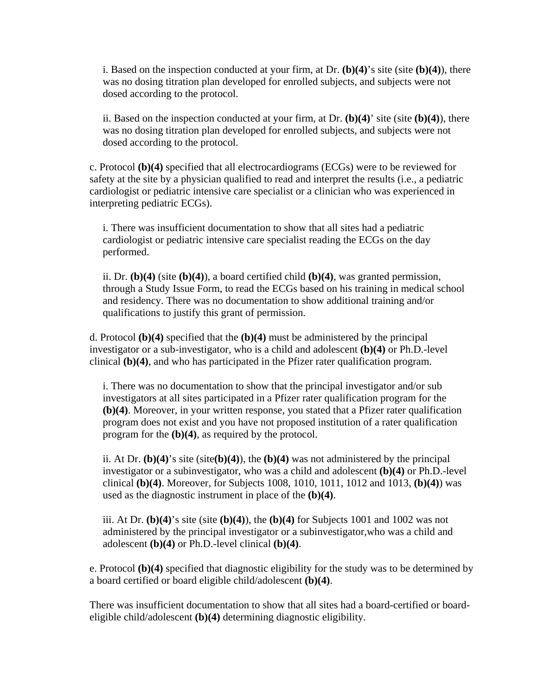i. Based on the inspection conducted at your firm, at Dr. **(b)(4)**'s site (site **(b)(4)**), there was no dosing titration plan developed for enrolled subjects, and subjects were not dosed according to the protocol.

ii. Based on the inspection conducted at your firm, at Dr. **(b)(4)**' site (site **(b)(4)**), there was no dosing titration plan developed for enrolled subjects, and subjects were not dosed according to the protocol.

c. Protocol **(b)(4)** specified that all electrocardiograms (ECGs) were to be reviewed for safety at the site by a physician qualified to read and interpret the results (i.e., a pediatric cardiologist or pediatric intensive care specialist or a clinician who was experienced in interpreting pediatric ECGs).

i. There was insufficient documentation to show that all sites had a pediatric cardiologist or pediatric intensive care specialist reading the ECGs on the day performed.

ii. Dr. **(b)(4)** (site **(b)(4)**), a board certified child **(b)(4)**, was granted permission, through a Study Issue Form, to read the ECGs based on his training in medical school and residency. There was no documentation to show additional training and/or qualifications to justify this grant of permission.

d. Protocol **(b)(4)** specified that the **(b)(4)** must be administered by the principal investigator or a sub-investigator, who is a child and adolescent **(b)(4)** or Ph.D.-level clinical **(b)(4)**, and who has participated in the Pfizer rater qualification program.

i. There was no documentation to show that the principal investigator and/or sub investigators at all sites participated in a Pfizer rater qualification program for the **(b)(4)**. Moreover, in your written response, you stated that a Pfizer rater qualification program does not exist and you have not proposed institution of a rater qualification program for the **(b)(4)**, as required by the protocol.

ii. At Dr. **(b)(4)**'s site (site**(b)(4)**), the **(b)(4)** was not administered by the principal investigator or a subinvestigator, who was a child and adolescent **(b)(4)** or Ph.D.-level clinical **(b)(4)**. Moreover, for Subjects 1008, 1010, 1011, 1012 and 1013, **(b)(4)**) was used as the diagnostic instrument in place of the **(b)(4)**.

iii. At Dr. **(b)(4)**'s site (site **(b)(4)**), the **(b)(4)** for Subjects 1001 and 1002 was not administered by the principal investigator or a subinvestigator,who was a child and adolescent **(b)(4)** or Ph.D.-level clinical **(b)(4)**.

e. Protocol **(b)(4)** specified that diagnostic eligibility for the study was to be determined by a board certified or board eligible child/adolescent **(b)(4)**.

There was insufficient documentation to show that all sites had a board-certified or boardeligible child/adolescent **(b)(4)** determining diagnostic eligibility.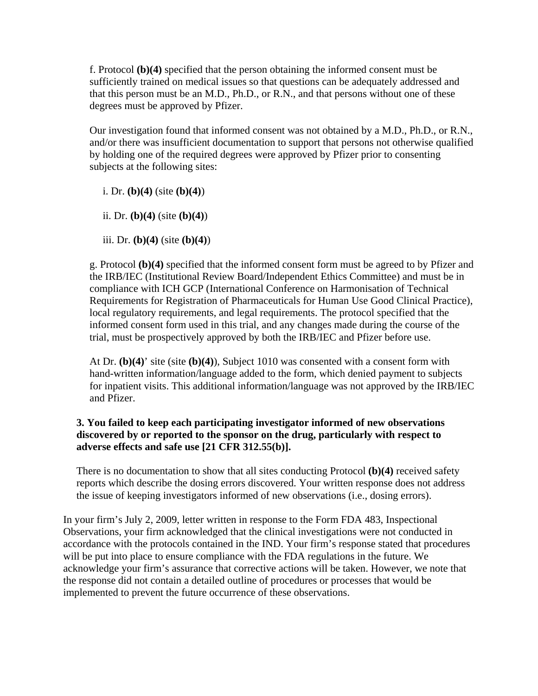f. Protocol **(b)(4)** specified that the person obtaining the informed consent must be sufficiently trained on medical issues so that questions can be adequately addressed and that this person must be an M.D., Ph.D., or R.N., and that persons without one of these degrees must be approved by Pfizer.

Our investigation found that informed consent was not obtained by a M.D., Ph.D., or R.N., and/or there was insufficient documentation to support that persons not otherwise qualified by holding one of the required degrees were approved by Pfizer prior to consenting subjects at the following sites:

i. Dr. **(b)(4)** (site **(b)(4)**)

ii. Dr. **(b)(4)** (site **(b)(4)**)

iii. Dr. **(b)(4)** (site **(b)(4)**)

g. Protocol **(b)(4)** specified that the informed consent form must be agreed to by Pfizer and the IRB/IEC (Institutional Review Board/Independent Ethics Committee) and must be in compliance with ICH GCP (International Conference on Harmonisation of Technical Requirements for Registration of Pharmaceuticals for Human Use Good Clinical Practice), local regulatory requirements, and legal requirements. The protocol specified that the informed consent form used in this trial, and any changes made during the course of the trial, must be prospectively approved by both the IRB/IEC and Pfizer before use.

At Dr. **(b)(4)**' site (site **(b)(4)**), Subject 1010 was consented with a consent form with hand-written information/language added to the form, which denied payment to subjects for inpatient visits. This additional information/language was not approved by the IRB/IEC and Pfizer.

## **3. You failed to keep each participating investigator informed of new observations discovered by or reported to the sponsor on the drug, particularly with respect to adverse effects and safe use [21 CFR 312.55(b)].**

There is no documentation to show that all sites conducting Protocol **(b)(4)** received safety reports which describe the dosing errors discovered. Your written response does not address the issue of keeping investigators informed of new observations (i.e., dosing errors).

In your firm's July 2, 2009, letter written in response to the Form FDA 483, Inspectional Observations, your firm acknowledged that the clinical investigations were not conducted in accordance with the protocols contained in the IND. Your firm's response stated that procedures will be put into place to ensure compliance with the FDA regulations in the future. We acknowledge your firm's assurance that corrective actions will be taken. However, we note that the response did not contain a detailed outline of procedures or processes that would be implemented to prevent the future occurrence of these observations.